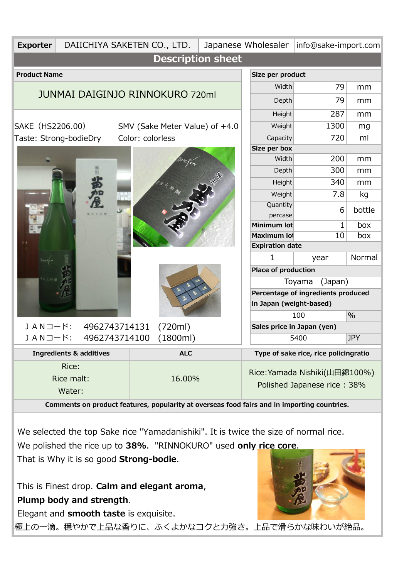| <b>Description sheet</b><br><b>Product Name</b><br>Size per product<br>79<br>Width<br>mm<br><b>JUNMAI DAIGINJO RINNOKURO 720ml</b><br>Depth<br>79<br>mm<br>287<br>Height<br>mm<br>1300<br>SAKE (HS2206.00)<br>Weight<br>SMV (Sake Meter Value) of +4.0<br>mg<br>720<br>ml<br>Color: colorless<br>Taste: Strong-bodieDry<br>Capacity<br>Size per box<br>200<br>Width<br>mm<br>300<br>Depth<br>mm<br>340<br><b>Height</b><br>mm<br>7.8<br>Weight<br>kg<br>Quantity<br>bottle<br>6<br>percase<br>$\mathbf{1}$<br>box<br>Minimum lot<br>10<br>Maximum lot<br>box |  |  |  |  |  |  |
|--------------------------------------------------------------------------------------------------------------------------------------------------------------------------------------------------------------------------------------------------------------------------------------------------------------------------------------------------------------------------------------------------------------------------------------------------------------------------------------------------------------------------------------------------------------|--|--|--|--|--|--|
|                                                                                                                                                                                                                                                                                                                                                                                                                                                                                                                                                              |  |  |  |  |  |  |
|                                                                                                                                                                                                                                                                                                                                                                                                                                                                                                                                                              |  |  |  |  |  |  |
|                                                                                                                                                                                                                                                                                                                                                                                                                                                                                                                                                              |  |  |  |  |  |  |
|                                                                                                                                                                                                                                                                                                                                                                                                                                                                                                                                                              |  |  |  |  |  |  |
|                                                                                                                                                                                                                                                                                                                                                                                                                                                                                                                                                              |  |  |  |  |  |  |
|                                                                                                                                                                                                                                                                                                                                                                                                                                                                                                                                                              |  |  |  |  |  |  |
|                                                                                                                                                                                                                                                                                                                                                                                                                                                                                                                                                              |  |  |  |  |  |  |
|                                                                                                                                                                                                                                                                                                                                                                                                                                                                                                                                                              |  |  |  |  |  |  |
|                                                                                                                                                                                                                                                                                                                                                                                                                                                                                                                                                              |  |  |  |  |  |  |
|                                                                                                                                                                                                                                                                                                                                                                                                                                                                                                                                                              |  |  |  |  |  |  |
|                                                                                                                                                                                                                                                                                                                                                                                                                                                                                                                                                              |  |  |  |  |  |  |
|                                                                                                                                                                                                                                                                                                                                                                                                                                                                                                                                                              |  |  |  |  |  |  |
|                                                                                                                                                                                                                                                                                                                                                                                                                                                                                                                                                              |  |  |  |  |  |  |
|                                                                                                                                                                                                                                                                                                                                                                                                                                                                                                                                                              |  |  |  |  |  |  |
|                                                                                                                                                                                                                                                                                                                                                                                                                                                                                                                                                              |  |  |  |  |  |  |
|                                                                                                                                                                                                                                                                                                                                                                                                                                                                                                                                                              |  |  |  |  |  |  |
| <b>Expiration date</b>                                                                                                                                                                                                                                                                                                                                                                                                                                                                                                                                       |  |  |  |  |  |  |
| Normal<br>1<br>year                                                                                                                                                                                                                                                                                                                                                                                                                                                                                                                                          |  |  |  |  |  |  |
| <b>Place of production</b>                                                                                                                                                                                                                                                                                                                                                                                                                                                                                                                                   |  |  |  |  |  |  |
| (Japan)<br>Toyama                                                                                                                                                                                                                                                                                                                                                                                                                                                                                                                                            |  |  |  |  |  |  |
| Percentage of ingredients produced                                                                                                                                                                                                                                                                                                                                                                                                                                                                                                                           |  |  |  |  |  |  |
| in Japan (weight-based)                                                                                                                                                                                                                                                                                                                                                                                                                                                                                                                                      |  |  |  |  |  |  |
| $\frac{0}{0}$<br>100                                                                                                                                                                                                                                                                                                                                                                                                                                                                                                                                         |  |  |  |  |  |  |
| JANコード:<br>4962743714131<br>(720ml)<br>Sales price in Japan (yen)                                                                                                                                                                                                                                                                                                                                                                                                                                                                                            |  |  |  |  |  |  |
| JANコード:<br>(1800ml)<br>4962743714100<br><b>JPY</b><br>5400                                                                                                                                                                                                                                                                                                                                                                                                                                                                                                   |  |  |  |  |  |  |
| <b>ALC</b><br><b>Ingredients &amp; additives</b><br>Type of sake rice, rice policingratio                                                                                                                                                                                                                                                                                                                                                                                                                                                                    |  |  |  |  |  |  |
| Rice:                                                                                                                                                                                                                                                                                                                                                                                                                                                                                                                                                        |  |  |  |  |  |  |
| Rice: Yamada Nishiki(山田錦100%)<br>Rice malt:<br>16.00%                                                                                                                                                                                                                                                                                                                                                                                                                                                                                                        |  |  |  |  |  |  |
| Polished Japanese rice: 38%<br>Water:                                                                                                                                                                                                                                                                                                                                                                                                                                                                                                                        |  |  |  |  |  |  |
| Comments on product features, popularity at overseas food fairs and in importing countries.                                                                                                                                                                                                                                                                                                                                                                                                                                                                  |  |  |  |  |  |  |
|                                                                                                                                                                                                                                                                                                                                                                                                                                                                                                                                                              |  |  |  |  |  |  |

 We selected the top Sake rice "Yamadanishiki". It is twice the size of normal rice. We polished the rice up to **38%**. "RINNOKURO" used **only rice core**.

That is Why it is so good **Strong-bodie**.

 This is Finest drop. **Calm and elegant aroma**, **Plump body and strength**.

Elegant and **smooth taste** is exquisite.

極上の一滴。穏やかで上品な香りに、ふくよかなコクと力強さ。上品で滑らかな味わいが絶品。